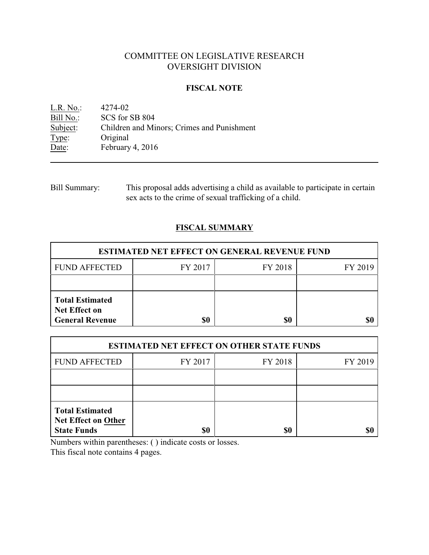# COMMITTEE ON LEGISLATIVE RESEARCH OVERSIGHT DIVISION

### **FISCAL NOTE**

<u>L.R. No.:</u> 4274-02<br>Bill No.: SCS for 9 Bill No.: SCS for SB 804<br>Subject: Children and Mi Subject: Children and Minors; Crimes and Punishment<br>Type: Original Type: Original<br>Date: February February 4, 2016

| <b>Bill Summary:</b> | This proposal adds advertising a child as available to participate in certain |
|----------------------|-------------------------------------------------------------------------------|
|                      | sex acts to the crime of sexual trafficking of a child.                       |

# **FISCAL SUMMARY**

| <b>ESTIMATED NET EFFECT ON GENERAL REVENUE FUND</b>                      |         |         |         |  |  |
|--------------------------------------------------------------------------|---------|---------|---------|--|--|
| <b>FUND AFFECTED</b>                                                     | FY 2017 | FY 2018 | FY 2019 |  |  |
|                                                                          |         |         |         |  |  |
| <b>Total Estimated</b><br><b>Net Effect on</b><br><b>General Revenue</b> | \$0     | \$0     |         |  |  |

| <b>ESTIMATED NET EFFECT ON OTHER STATE FUNDS</b>                           |         |         |         |  |  |
|----------------------------------------------------------------------------|---------|---------|---------|--|--|
| <b>FUND AFFECTED</b>                                                       | FY 2017 | FY 2018 | FY 2019 |  |  |
|                                                                            |         |         |         |  |  |
|                                                                            |         |         |         |  |  |
| <b>Total Estimated</b><br><b>Net Effect on Other</b><br><b>State Funds</b> | \$0     | \$0     |         |  |  |

Numbers within parentheses: ( ) indicate costs or losses.

This fiscal note contains 4 pages.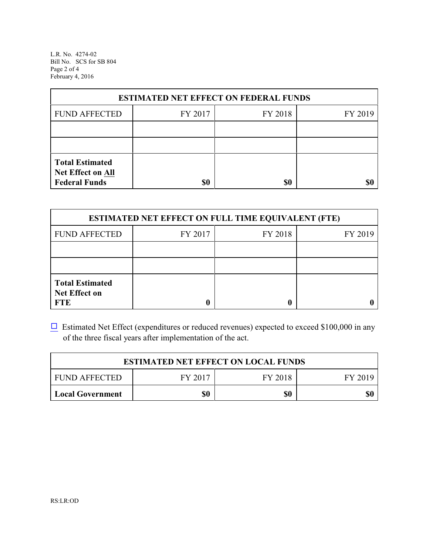L.R. No. 4274-02 Bill No. SCS for SB 804 Page 2 of 4 February 4, 2016

| <b>ESTIMATED NET EFFECT ON FEDERAL FUNDS</b>                        |         |         |         |  |  |
|---------------------------------------------------------------------|---------|---------|---------|--|--|
| <b>FUND AFFECTED</b>                                                | FY 2017 | FY 2018 | FY 2019 |  |  |
|                                                                     |         |         |         |  |  |
|                                                                     |         |         |         |  |  |
| <b>Total Estimated</b><br>Net Effect on All<br><b>Federal Funds</b> | \$0     | \$0     |         |  |  |

| <b>ESTIMATED NET EFFECT ON FULL TIME EQUIVALENT (FTE)</b>    |         |         |         |  |  |
|--------------------------------------------------------------|---------|---------|---------|--|--|
| <b>FUND AFFECTED</b>                                         | FY 2017 | FY 2018 | FY 2019 |  |  |
|                                                              |         |         |         |  |  |
|                                                              |         |         |         |  |  |
| <b>Total Estimated</b><br><b>Net Effect on</b><br><b>FTE</b> |         |         |         |  |  |

 $\Box$  Estimated Net Effect (expenditures or reduced revenues) expected to exceed \$100,000 in any of the three fiscal years after implementation of the act.

| <b>ESTIMATED NET EFFECT ON LOCAL FUNDS</b>            |  |  |  |  |
|-------------------------------------------------------|--|--|--|--|
| FY 2018<br><b>FUND AFFECTED</b><br>FY 2017<br>FY 2019 |  |  |  |  |
| \$0<br>\$0<br>\$0<br>Local Government                 |  |  |  |  |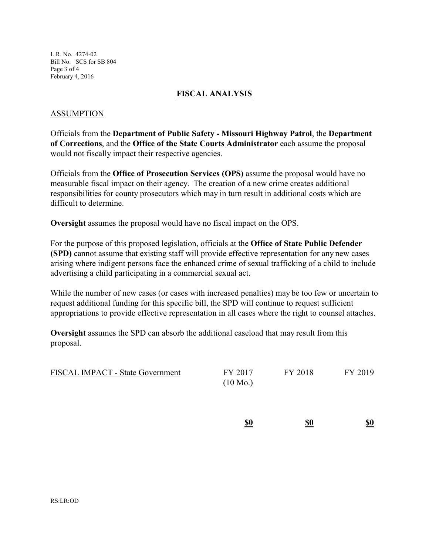L.R. No. 4274-02 Bill No. SCS for SB 804 Page 3 of 4 February 4, 2016

#### **FISCAL ANALYSIS**

#### ASSUMPTION

Officials from the **Department of Public Safety - Missouri Highway Patrol**, the **Department of Corrections**, and the **Office of the State Courts Administrator** each assume the proposal would not fiscally impact their respective agencies.

Officials from the **Office of Prosecution Services (OPS)** assume the proposal would have no measurable fiscal impact on their agency. The creation of a new crime creates additional responsibilities for county prosecutors which may in turn result in additional costs which are difficult to determine.

**Oversight** assumes the proposal would have no fiscal impact on the OPS.

For the purpose of this proposed legislation, officials at the **Office of State Public Defender (SPD)** cannot assume that existing staff will provide effective representation for any new cases arising where indigent persons face the enhanced crime of sexual trafficking of a child to include advertising a child participating in a commercial sexual act.

While the number of new cases (or cases with increased penalties) may be too few or uncertain to request additional funding for this specific bill, the SPD will continue to request sufficient appropriations to provide effective representation in all cases where the right to counsel attaches.

**Oversight** assumes the SPD can absorb the additional caseload that may result from this proposal.

| <b>FISCAL IMPACT - State Government</b> | FY 2017            | FY 2018 | FY 2019 |
|-----------------------------------------|--------------------|---------|---------|
|                                         | $(10 \text{ Mo.})$ |         |         |

| <u>\$0</u> | \$0 | \$0 |
|------------|-----|-----|
|            |     |     |